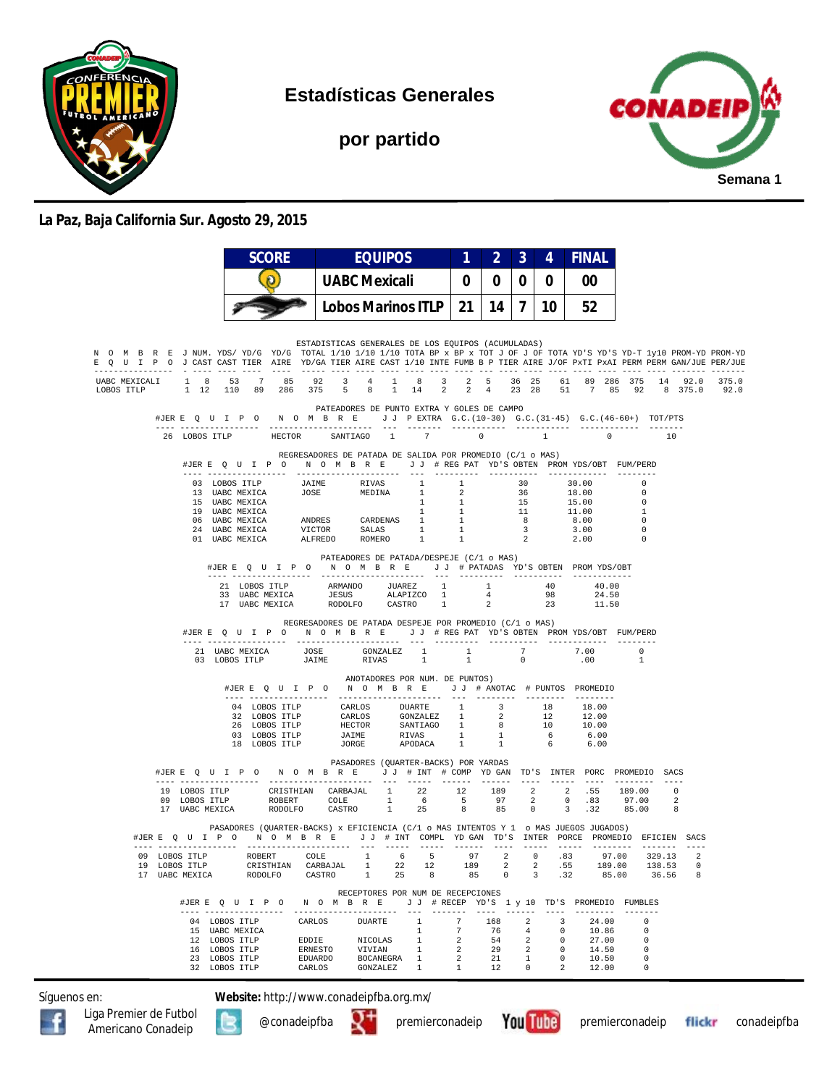

**Estadísticas Generales**

**por partido**



## **La Paz, Baja California Sur. Agosto 29, 2015**

|                                                                                                                                                                                                                                                        |               |                                                                                                                                        |  |  | <b>SCORE</b><br>$\boldsymbol{0}$ |                               |  | <b>EQUIPOS</b><br>UABC Mexicali |  |                    |                                                                                                                                                                                                            | 1 | $\overline{2}$ | $\mathbf{3}$ | 4           | <b>FINAL</b><br>00 |                                                                                                                                                                                                                                                                                                                                                       |                |                                  |                            |                                                                                          |                                         |
|--------------------------------------------------------------------------------------------------------------------------------------------------------------------------------------------------------------------------------------------------------|---------------|----------------------------------------------------------------------------------------------------------------------------------------|--|--|----------------------------------|-------------------------------|--|---------------------------------|--|--------------------|------------------------------------------------------------------------------------------------------------------------------------------------------------------------------------------------------------|---|----------------|--------------|-------------|--------------------|-------------------------------------------------------------------------------------------------------------------------------------------------------------------------------------------------------------------------------------------------------------------------------------------------------------------------------------------------------|----------------|----------------------------------|----------------------------|------------------------------------------------------------------------------------------|-----------------------------------------|
|                                                                                                                                                                                                                                                        |               |                                                                                                                                        |  |  |                                  |                               |  |                                 |  |                    |                                                                                                                                                                                                            |   | 0 <sup>1</sup> | $\bf{0}$     | $\mathbf 0$ |                    |                                                                                                                                                                                                                                                                                                                                                       |                |                                  |                            |                                                                                          |                                         |
|                                                                                                                                                                                                                                                        |               |                                                                                                                                        |  |  | Lobos Marinos ITLP               |                               |  |                                 |  | $21$   14   7   10 |                                                                                                                                                                                                            |   |                | 52           |             |                    |                                                                                                                                                                                                                                                                                                                                                       |                |                                  |                            |                                                                                          |                                         |
|                                                                                                                                                                                                                                                        |               |                                                                                                                                        |  |  |                                  |                               |  |                                 |  |                    |                                                                                                                                                                                                            |   |                |              |             |                    |                                                                                                                                                                                                                                                                                                                                                       |                |                                  |                            |                                                                                          |                                         |
| N O M B R E J NUM. YDS/YD/G YD/G TOTAL 1/10 1/10 1/10 TOTA BP x BP x TOT J OF J OF TOTA YD'S YD-T 1y10 PROM-YD PROM-YD<br>E Q U I P O J CAST CAST TIER AIRE YD/GA TIER AIRE CAST 1/10 INTE FUMB B P TIER AIRE J/OF PXTI PXAI PERM PERM GAN/JUE PER/JUE |               |                                                                                                                                        |  |  |                                  |                               |  |                                 |  |                    | ESTADISTICAS GENERALES DE LOS EQUIPOS (ACUMULADAS)                                                                                                                                                         |   |                |              |             |                    |                                                                                                                                                                                                                                                                                                                                                       |                |                                  |                            |                                                                                          |                                         |
| UABC MEXICALI 1 8 53 7 85 92 3 4 1 8<br>LOBOS ITLP 1 12 110 89 286 375 5 8 1 14 2 2 4 23 28 51 7 85 92 8 375.0 92.0                                                                                                                                    |               |                                                                                                                                        |  |  |                                  |                               |  |                                 |  |                    |                                                                                                                                                                                                            |   |                |              |             |                    |                                                                                                                                                                                                                                                                                                                                                       |                |                                  |                            |                                                                                          | 3 2 5 36 25 61 89 286 375 14 92.0 375.0 |
|                                                                                                                                                                                                                                                        |               |                                                                                                                                        |  |  |                                  |                               |  |                                 |  |                    | PATEADORES DE PUNTO EXTRA Y GOLES DE CAMPO                                                                                                                                                                 |   |                |              |             |                    | #JERE Q U I P O N O M B R E J J PEXTRA G.C. (10-30) G.C. (31-45) G.C. (46-60+) TOT/PTS                                                                                                                                                                                                                                                                |                |                                  |                            |                                                                                          |                                         |
|                                                                                                                                                                                                                                                        |               |                                                                                                                                        |  |  |                                  |                               |  |                                 |  |                    |                                                                                                                                                                                                            |   |                |              |             |                    |                                                                                                                                                                                                                                                                                                                                                       |                | $\sim$ 0 10                      |                            |                                                                                          |                                         |
|                                                                                                                                                                                                                                                        |               | REGRESADORES DE PATADA DE SALIDA POR PROMEDIO (C/1 o MAS)<br>#JERE Q U I P O N O M B R E J J # REG PAT YD'S OBTEN PROMYDS/OBT FUM/PERD |  |  |                                  |                               |  |                                 |  |                    |                                                                                                                                                                                                            |   |                |              |             |                    |                                                                                                                                                                                                                                                                                                                                                       |                |                                  |                            |                                                                                          |                                         |
|                                                                                                                                                                                                                                                        |               |                                                                                                                                        |  |  |                                  |                               |  |                                 |  |                    |                                                                                                                                                                                                            |   |                |              |             |                    | 03 LOBOS TELP JAIME RIVAS 1 1 30 30.00 0<br>13 UABC MEXICA JOSE MEDINA 1 2 36 18.00 0<br>15 UABC MEXICA JOSE MEDINA 1 2 36 18.00 0<br>15 UABC MEXICA 1 1 1 11 10.0 1<br>10 UABC MEXICA ANDRES CARDENAS 1 1 8 8.00 0<br>24 UABC MEXICA VI                                                                                                              |                |                                  |                            |                                                                                          |                                         |
|                                                                                                                                                                                                                                                        |               |                                                                                                                                        |  |  |                                  |                               |  |                                 |  |                    |                                                                                                                                                                                                            |   |                |              |             |                    |                                                                                                                                                                                                                                                                                                                                                       |                |                                  |                            |                                                                                          |                                         |
|                                                                                                                                                                                                                                                        |               |                                                                                                                                        |  |  |                                  |                               |  |                                 |  |                    |                                                                                                                                                                                                            |   |                |              |             |                    |                                                                                                                                                                                                                                                                                                                                                       |                |                                  |                            |                                                                                          |                                         |
|                                                                                                                                                                                                                                                        |               |                                                                                                                                        |  |  |                                  |                               |  |                                 |  |                    |                                                                                                                                                                                                            |   |                |              |             |                    |                                                                                                                                                                                                                                                                                                                                                       |                |                                  |                            |                                                                                          |                                         |
|                                                                                                                                                                                                                                                        |               |                                                                                                                                        |  |  |                                  |                               |  |                                 |  |                    |                                                                                                                                                                                                            |   |                |              |             |                    |                                                                                                                                                                                                                                                                                                                                                       |                |                                  |                            |                                                                                          |                                         |
|                                                                                                                                                                                                                                                        |               |                                                                                                                                        |  |  |                                  |                               |  |                                 |  |                    | PATEADORES DE PATADA/DESPEJE (C/1 o MAS)                                                                                                                                                                   |   |                |              |             |                    | #JERE QUIPO NOMBRE JJ # PATADAS YD'S OBTEN PROMYDS/OBT                                                                                                                                                                                                                                                                                                |                |                                  |                            |                                                                                          |                                         |
|                                                                                                                                                                                                                                                        |               |                                                                                                                                        |  |  |                                  |                               |  |                                 |  |                    | $\begin{tabular}{cccccc} 21 & LOBOS & TILP & & ARMANDO & JUAREZ & 1 & 1 & 40 \\ 33 & UABC MEXICA & & JESUS & ALAPIZCO & 1 & 4 & 98 \\ 17 & UABC MEXICA & & RODOLFO & CASTRO & 1 & 2 & 23 \\ \end{tabular}$ |   |                |              |             |                    |                                                                                                                                                                                                                                                                                                                                                       | 40.00<br>24.50 |                                  |                            |                                                                                          |                                         |
|                                                                                                                                                                                                                                                        |               |                                                                                                                                        |  |  |                                  |                               |  |                                 |  |                    |                                                                                                                                                                                                            |   |                |              |             |                    |                                                                                                                                                                                                                                                                                                                                                       | 11.50          |                                  |                            |                                                                                          |                                         |
|                                                                                                                                                                                                                                                        |               |                                                                                                                                        |  |  |                                  |                               |  |                                 |  |                    | REGRESADORES DE PATADA DESPEJE POR PROMEDIO (C/1 o MAS)                                                                                                                                                    |   |                |              |             |                    | #JER E Q U I P O N O M B R E J J # REG PAT YD'S OBTEN PROMYDS/OBT FUM/PERD                                                                                                                                                                                                                                                                            |                |                                  |                            |                                                                                          |                                         |
|                                                                                                                                                                                                                                                        |               |                                                                                                                                        |  |  |                                  |                               |  |                                 |  |                    |                                                                                                                                                                                                            |   |                |              |             |                    | $\begin{tabular}{cccccccccc} 21 & UABC MEXICA & JOSE & GONZALEZ & 1 & 1 & 7 & 7.00 \\ 03 & LOBOS ITLP & JAIME & RIVAS & 1 & 1 & 0 & .00 \\ \end{tabular}$                                                                                                                                                                                             |                | $\overline{0}$<br>$\overline{1}$ |                            |                                                                                          |                                         |
|                                                                                                                                                                                                                                                        |               |                                                                                                                                        |  |  |                                  |                               |  |                                 |  |                    | ANOTADORES POR NUM. DE PUNTOS)                                                                                                                                                                             |   |                |              |             |                    | #JERE Q U I P O N O M B R E J J # ANOTAC # PUNTOS PROMEDIO                                                                                                                                                                                                                                                                                            |                |                                  |                            |                                                                                          |                                         |
|                                                                                                                                                                                                                                                        |               |                                                                                                                                        |  |  |                                  |                               |  |                                 |  |                    |                                                                                                                                                                                                            |   |                |              |             |                    |                                                                                                                                                                                                                                                                                                                                                       |                |                                  |                            |                                                                                          |                                         |
|                                                                                                                                                                                                                                                        |               |                                                                                                                                        |  |  |                                  |                               |  |                                 |  |                    |                                                                                                                                                                                                            |   |                |              |             |                    |                                                                                                                                                                                                                                                                                                                                                       |                |                                  |                            |                                                                                          |                                         |
|                                                                                                                                                                                                                                                        |               |                                                                                                                                        |  |  |                                  |                               |  |                                 |  |                    |                                                                                                                                                                                                            |   |                |              |             |                    | $\begin{tabular}{cccccc} 04 & LOBOS & TTLP & & CARLOS & DUAATE & 1 & 3 & 18 & 18.00 \\ 32 & LOBOS & TTLP & & CARLOS & GONZALEZ & 1 & 2 & 12 & 12.00 \\ 26 & LOBOS & TTLP & HECTOR & SANTIAGO & 1 & 8 & 10 & 10.00 \\ 03 & LOBOS & TTLP & JAIME & RIVAS & 1 & 1 & 6 & 6.00 \\ 18 & LOBOS & TTLP & JORGE & APODACA & 1 & 1 & 6 & 6.00 \\ \end{tabular}$ |                |                                  |                            |                                                                                          |                                         |
|                                                                                                                                                                                                                                                        |               |                                                                                                                                        |  |  |                                  |                               |  |                                 |  |                    |                                                                                                                                                                                                            |   |                |              |             |                    |                                                                                                                                                                                                                                                                                                                                                       |                |                                  |                            |                                                                                          |                                         |
|                                                                                                                                                                                                                                                        |               |                                                                                                                                        |  |  |                                  |                               |  |                                 |  |                    | PASADORES (QUARTER-BACKS) POR YARDAS                                                                                                                                                                       |   |                |              |             |                    | #JERE Q U I P O N O M B R E J J # INT # COMP YD GAN TD'S INTER PORC PROMEDIO SACS                                                                                                                                                                                                                                                                     |                |                                  |                            |                                                                                          |                                         |
|                                                                                                                                                                                                                                                        |               |                                                                                                                                        |  |  |                                  |                               |  |                                 |  |                    |                                                                                                                                                                                                            |   |                |              |             |                    | $\begin{tabular}{cccccccc} 19 & LOBOS & TTEP & CRISTHIAN & CARBAJAL & 1 & 22 & 12 & 189 & 2 & 2 & .55 & 189.00 & 0 \\ 09 & LOBOS & TTEP & ROBERT & COLE & 1 & 6 & 5 & 97 & 2 & 0 & .83 & 97.00 & 2 \\ 17 & UABC & MEXICA & RODOLFO & CASTRO & 1 & 25 & 8 & 85 & 0 & 3 & .32 & 85.00 & 8 \\ \end{tabular}$                                             |                |                                  |                            |                                                                                          |                                         |
|                                                                                                                                                                                                                                                        |               |                                                                                                                                        |  |  |                                  |                               |  |                                 |  |                    |                                                                                                                                                                                                            |   |                |              |             |                    |                                                                                                                                                                                                                                                                                                                                                       |                |                                  |                            |                                                                                          |                                         |
|                                                                                                                                                                                                                                                        |               |                                                                                                                                        |  |  |                                  |                               |  |                                 |  |                    |                                                                                                                                                                                                            |   |                |              |             |                    | PASADORES (QUARTER-BACKS) x EFICIENCIA (C/1 o MAS INTENTOS Y 1 o MAS JUEGOS JUGADOS)                                                                                                                                                                                                                                                                  |                |                                  |                            | #JERE Q U I P O N O M B R E J J # INT COMPL YDGAN TD'S INTER PORCE PROMEDIO EFICIEN SACS |                                         |
|                                                                                                                                                                                                                                                        |               |                                                                                                                                        |  |  |                                  | 09 LOBOS ITLP ROBERT COLE $1$ |  |                                 |  |                    | 6 5                                                                                                                                                                                                        |   |                | 97 2         |             |                    | $0.83$ 97.00                                                                                                                                                                                                                                                                                                                                          |                |                                  | 329.13                     | $\overline{\phantom{0}}$                                                                 |                                         |
|                                                                                                                                                                                                                                                        | 19 LOBOS ITLP |                                                                                                                                        |  |  | 17 UABC MEXICA RODOLFO           |                               |  |                                 |  |                    | CRISTHIAN CARBAJAL 1 22 12 189 2                                                                                                                                                                           |   |                |              |             |                    | 2 .55 189.00<br>CASTRO 1 25 8 85 0 3 .32                                                                                                                                                                                                                                                                                                              |                | 85.00 36.56                      | 138.53                     | $\Omega$<br>8                                                                            |                                         |
|                                                                                                                                                                                                                                                        |               |                                                                                                                                        |  |  |                                  |                               |  |                                 |  |                    | RECEPTORES POR NUM DE RECEPCIONES                                                                                                                                                                          |   |                |              |             |                    | #JER E Q U I P O N O M B R E J J # RECEP YD'S 1 y 10 TD'S PROMEDIO FUMBLES                                                                                                                                                                                                                                                                            |                |                                  |                            |                                                                                          |                                         |
|                                                                                                                                                                                                                                                        |               |                                                                                                                                        |  |  | 15 UABC MEXICA                   |                               |  |                                 |  |                    |                                                                                                                                                                                                            |   |                |              |             |                    | 04 LOBOS ITLP CARLOS DUARTE 1 7 168 2 3 24.00                                                                                                                                                                                                                                                                                                         |                |                                  | $^{\circ}$<br>$\mathbf{0}$ |                                                                                          |                                         |
|                                                                                                                                                                                                                                                        |               |                                                                                                                                        |  |  | 12 LOBOS ITLP                    |                               |  |                                 |  |                    | $\frac{1}{1}$                                                                                                                                                                                              |   |                |              |             |                    |                                                                                                                                                                                                                                                                                                                                                       |                |                                  | $\Omega$                   |                                                                                          |                                         |
|                                                                                                                                                                                                                                                        |               |                                                                                                                                        |  |  | 16 LOBOS ITLP<br>23 LOBOS ITLP   |                               |  |                                 |  |                    |                                                                                                                                                                                                            |   |                |              |             |                    |                                                                                                                                                                                                                                                                                                                                                       |                |                                  | $\mathbf{0}$<br>0          |                                                                                          |                                         |
|                                                                                                                                                                                                                                                        |               |                                                                                                                                        |  |  | 32 LOBOS ITLP                    |                               |  |                                 |  |                    |                                                                                                                                                                                                            |   |                |              |             |                    | CARLOS DUARTE 1 7 76 4 0 10.86<br>EDDIE NICOLAS 1 2 54 2 0 27.00<br>ERNESTO VIVIAN 1 2 29 2 0 14.50<br>EDUARDO BOCANEGRA 1 2 29 2 0 14.50<br>CARLOS GONZALEZ 1 1 12 0 2 12.00<br>$2 \t 12.00 \t 0$                                                                                                                                                    |                |                                  |                            |                                                                                          |                                         |

Síguenos en: **Website:** http://www.conadeipfba.org.mx/





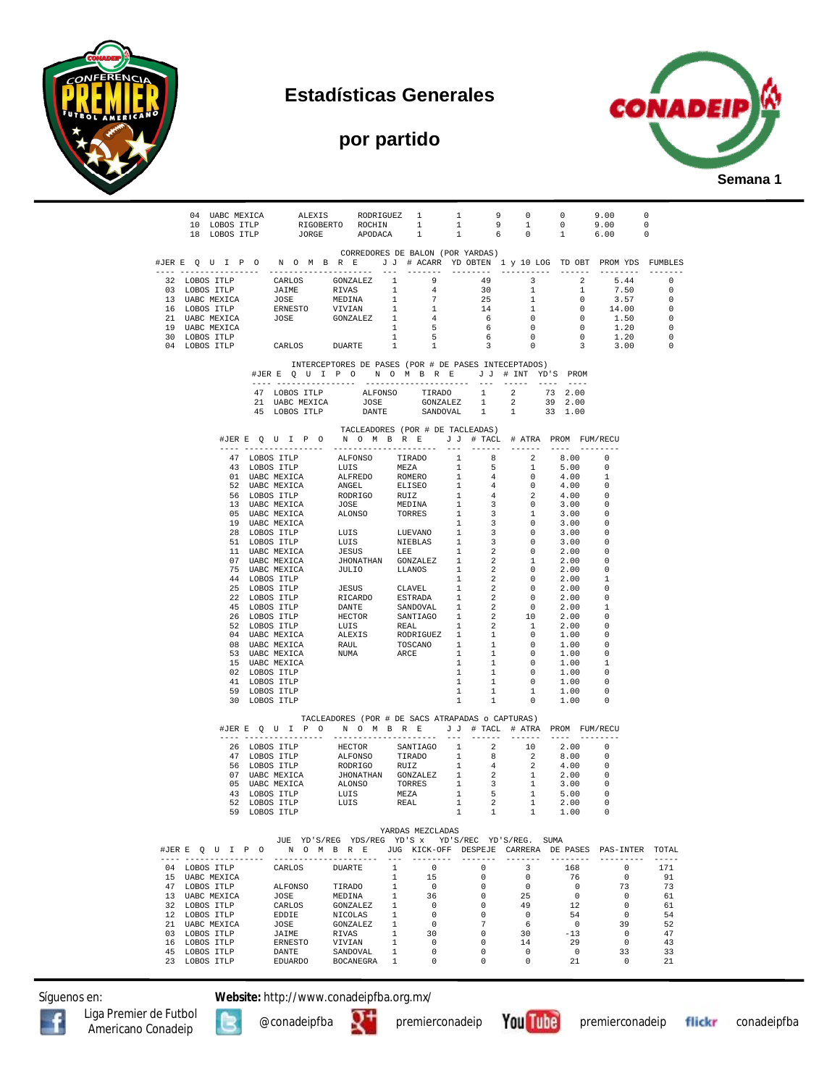

## **Estadísticas Generales**

## **por partido**



| 04 UABC MEXICA ALEXIS RODRIGUEZ 1 1 9 0 0 9.00 0 |                                                                                    |  |         |  |                                                                                                                                                                                                                          |                |                          |              |              |                                                                       |                                                                                                                            |                                  |                      |
|--------------------------------------------------|------------------------------------------------------------------------------------|--|---------|--|--------------------------------------------------------------------------------------------------------------------------------------------------------------------------------------------------------------------------|----------------|--------------------------|--------------|--------------|-----------------------------------------------------------------------|----------------------------------------------------------------------------------------------------------------------------|----------------------------------|----------------------|
|                                                  | 10 LOBOS ITLP                                                                      |  |         |  | RIGOBERTO ROCHIN 1<br>JORGE APODACA 1                                                                                                                                                                                    |                |                          | $\mathbf{1}$ |              | $\begin{array}{ccccccccc} 9 & & 1 & & 0 \\ 6 & & 0 & & 1 \end{array}$ |                                                                                                                            | 9.00<br>$\overline{\phantom{0}}$ |                      |
|                                                  | 18 LOBOS ITLP                                                                      |  |         |  |                                                                                                                                                                                                                          |                | 1                        | 1            |              |                                                                       |                                                                                                                            | 6.00<br>$\overline{0}$           |                      |
|                                                  |                                                                                    |  |         |  | CORREDORES DE BALON (POR YARDAS)                                                                                                                                                                                         |                |                          |              |              |                                                                       |                                                                                                                            |                                  |                      |
|                                                  | #JERE QUIPONOMBRE JJ # ACARR YD OBTEN 1 y 10 LOG TD OBT PROMYDS FUMBLES            |  |         |  |                                                                                                                                                                                                                          |                |                          |              |              |                                                                       |                                                                                                                            |                                  |                      |
|                                                  |                                                                                    |  |         |  |                                                                                                                                                                                                                          |                |                          |              |              |                                                                       |                                                                                                                            | --------- -------                |                      |
|                                                  |                                                                                    |  |         |  |                                                                                                                                                                                                                          |                |                          |              |              |                                                                       |                                                                                                                            |                                  |                      |
|                                                  |                                                                                    |  |         |  |                                                                                                                                                                                                                          |                |                          |              |              |                                                                       |                                                                                                                            |                                  |                      |
|                                                  |                                                                                    |  |         |  |                                                                                                                                                                                                                          |                |                          |              |              |                                                                       |                                                                                                                            |                                  |                      |
|                                                  |                                                                                    |  |         |  |                                                                                                                                                                                                                          |                |                          |              |              |                                                                       |                                                                                                                            |                                  |                      |
|                                                  |                                                                                    |  |         |  |                                                                                                                                                                                                                          |                |                          |              |              |                                                                       |                                                                                                                            |                                  |                      |
|                                                  |                                                                                    |  |         |  |                                                                                                                                                                                                                          |                |                          |              |              |                                                                       |                                                                                                                            |                                  |                      |
|                                                  |                                                                                    |  |         |  |                                                                                                                                                                                                                          |                |                          |              |              |                                                                       |                                                                                                                            |                                  |                      |
|                                                  |                                                                                    |  |         |  |                                                                                                                                                                                                                          |                |                          |              |              |                                                                       |                                                                                                                            |                                  |                      |
|                                                  |                                                                                    |  |         |  |                                                                                                                                                                                                                          |                |                          |              |              |                                                                       |                                                                                                                            |                                  |                      |
|                                                  |                                                                                    |  |         |  | INTERCEPTORES DE PASES (POR # DE PASES INTECEPTADOS)                                                                                                                                                                     |                |                          |              |              |                                                                       |                                                                                                                            |                                  |                      |
|                                                  |                                                                                    |  |         |  | #JERE QUIPO NOMBRE JJ # INT YD'S PROM                                                                                                                                                                                    |                |                          |              |              |                                                                       |                                                                                                                            |                                  |                      |
|                                                  |                                                                                    |  |         |  |                                                                                                                                                                                                                          |                |                          |              |              |                                                                       |                                                                                                                            |                                  |                      |
|                                                  |                                                                                    |  |         |  |                                                                                                                                                                                                                          |                |                          |              |              |                                                                       |                                                                                                                            |                                  |                      |
|                                                  |                                                                                    |  |         |  | $\begin{tabular}{lcccccc} 47 & LOBOS & TTE & ALFONSO & TIRADO & 1 & 2 & 73 & 2.00 \\ 21 & UABC MEXICA & JOSE & GONZALEZ & 1 & 2 & 39 & 2.00 \\ 45 & LOBOS & TTE & DANTE & SANDOVAL & 1 & 1 & 33 & 1.00 \\ \end{tabular}$ |                |                          |              |              |                                                                       |                                                                                                                            |                                  |                      |
|                                                  |                                                                                    |  |         |  |                                                                                                                                                                                                                          |                |                          |              |              |                                                                       |                                                                                                                            |                                  |                      |
|                                                  |                                                                                    |  |         |  |                                                                                                                                                                                                                          |                |                          |              |              |                                                                       |                                                                                                                            |                                  |                      |
|                                                  |                                                                                    |  |         |  | TACLEADORES (POR # DE TACLEADAS)<br>#JERE Q U I P O N O M B R E J J # TACL # ATRA PROM FUM/RECU                                                                                                                          |                |                          |              |              |                                                                       |                                                                                                                            |                                  |                      |
|                                                  |                                                                                    |  |         |  |                                                                                                                                                                                                                          |                |                          |              |              |                                                                       |                                                                                                                            |                                  |                      |
|                                                  |                                                                                    |  |         |  |                                                                                                                                                                                                                          |                |                          |              |              |                                                                       |                                                                                                                            |                                  |                      |
|                                                  |                                                                                    |  |         |  |                                                                                                                                                                                                                          |                |                          |              |              |                                                                       |                                                                                                                            |                                  |                      |
|                                                  |                                                                                    |  |         |  |                                                                                                                                                                                                                          |                |                          |              |              |                                                                       |                                                                                                                            |                                  |                      |
|                                                  |                                                                                    |  |         |  |                                                                                                                                                                                                                          |                |                          |              |              |                                                                       |                                                                                                                            |                                  |                      |
|                                                  |                                                                                    |  |         |  |                                                                                                                                                                                                                          |                |                          |              |              |                                                                       |                                                                                                                            |                                  |                      |
|                                                  |                                                                                    |  |         |  |                                                                                                                                                                                                                          |                |                          |              |              |                                                                       |                                                                                                                            |                                  |                      |
|                                                  |                                                                                    |  |         |  |                                                                                                                                                                                                                          |                |                          |              |              |                                                                       |                                                                                                                            |                                  |                      |
|                                                  |                                                                                    |  |         |  |                                                                                                                                                                                                                          |                |                          |              |              |                                                                       |                                                                                                                            |                                  |                      |
|                                                  |                                                                                    |  |         |  |                                                                                                                                                                                                                          |                |                          |              |              |                                                                       |                                                                                                                            |                                  |                      |
|                                                  |                                                                                    |  |         |  |                                                                                                                                                                                                                          |                |                          |              |              |                                                                       |                                                                                                                            |                                  |                      |
|                                                  |                                                                                    |  |         |  |                                                                                                                                                                                                                          |                |                          |              |              |                                                                       |                                                                                                                            |                                  |                      |
|                                                  |                                                                                    |  |         |  |                                                                                                                                                                                                                          |                |                          |              |              |                                                                       |                                                                                                                            |                                  |                      |
|                                                  |                                                                                    |  |         |  |                                                                                                                                                                                                                          |                |                          |              |              |                                                                       |                                                                                                                            |                                  |                      |
|                                                  |                                                                                    |  |         |  |                                                                                                                                                                                                                          |                |                          |              |              |                                                                       |                                                                                                                            |                                  |                      |
|                                                  |                                                                                    |  |         |  |                                                                                                                                                                                                                          |                |                          |              |              |                                                                       |                                                                                                                            |                                  |                      |
|                                                  |                                                                                    |  |         |  |                                                                                                                                                                                                                          |                |                          |              |              |                                                                       |                                                                                                                            |                                  |                      |
|                                                  |                                                                                    |  |         |  |                                                                                                                                                                                                                          |                |                          |              |              |                                                                       |                                                                                                                            |                                  |                      |
|                                                  |                                                                                    |  |         |  |                                                                                                                                                                                                                          |                |                          |              |              |                                                                       |                                                                                                                            |                                  |                      |
|                                                  | 41 LOBOS ITLP<br>59 LOBOS ITLP<br>30 LOBOS ITLP                                    |  |         |  |                                                                                                                                                                                                                          |                |                          |              |              |                                                                       |                                                                                                                            |                                  |                      |
|                                                  |                                                                                    |  |         |  |                                                                                                                                                                                                                          |                |                          |              |              |                                                                       |                                                                                                                            |                                  |                      |
|                                                  |                                                                                    |  |         |  |                                                                                                                                                                                                                          |                |                          |              |              |                                                                       |                                                                                                                            |                                  |                      |
|                                                  |                                                                                    |  |         |  |                                                                                                                                                                                                                          |                |                          |              |              |                                                                       |                                                                                                                            |                                  |                      |
|                                                  |                                                                                    |  |         |  |                                                                                                                                                                                                                          |                |                          |              |              |                                                                       |                                                                                                                            |                                  |                      |
|                                                  |                                                                                    |  |         |  |                                                                                                                                                                                                                          |                |                          | 1            | $\mathbf{1}$ | $\overline{0}$                                                        | 1.00                                                                                                                       | - റ                              |                      |
|                                                  |                                                                                    |  |         |  |                                                                                                                                                                                                                          |                |                          | 1            |              |                                                                       |                                                                                                                            | 0                                |                      |
|                                                  |                                                                                    |  |         |  |                                                                                                                                                                                                                          |                |                          | 1            |              |                                                                       | $\begin{array}{cccc} 1 & \hspace{1.5cm} 1 & \hspace{1.5cm} 1.00 \\ 1 & \hspace{1.5cm} 0 & \hspace{1.5cm} 1.00 \end{array}$ | 0                                |                      |
|                                                  |                                                                                    |  |         |  |                                                                                                                                                                                                                          |                |                          |              |              |                                                                       |                                                                                                                            |                                  |                      |
|                                                  |                                                                                    |  |         |  | TACLEADORES (POR # DE SACS ATRAPADAS o CAPTURAS)                                                                                                                                                                         |                |                          |              |              |                                                                       |                                                                                                                            |                                  |                      |
|                                                  |                                                                                    |  |         |  | #JERE QUIPO NOMBRE JJ # TACL # ATRA PROM FUM/RECU                                                                                                                                                                        |                |                          |              |              |                                                                       |                                                                                                                            |                                  |                      |
|                                                  |                                                                                    |  |         |  |                                                                                                                                                                                                                          |                |                          |              |              |                                                                       |                                                                                                                            |                                  |                      |
|                                                  |                                                                                    |  |         |  |                                                                                                                                                                                                                          |                |                          |              |              |                                                                       |                                                                                                                            |                                  |                      |
|                                                  |                                                                                    |  |         |  |                                                                                                                                                                                                                          |                |                          |              |              |                                                                       |                                                                                                                            |                                  |                      |
|                                                  |                                                                                    |  |         |  |                                                                                                                                                                                                                          |                |                          |              |              |                                                                       |                                                                                                                            |                                  |                      |
|                                                  |                                                                                    |  |         |  |                                                                                                                                                                                                                          |                |                          |              |              |                                                                       |                                                                                                                            |                                  |                      |
|                                                  |                                                                                    |  |         |  |                                                                                                                                                                                                                          |                |                          |              |              |                                                                       |                                                                                                                            |                                  |                      |
|                                                  |                                                                                    |  |         |  |                                                                                                                                                                                                                          |                |                          |              |              |                                                                       |                                                                                                                            |                                  |                      |
|                                                  |                                                                                    |  |         |  |                                                                                                                                                                                                                          |                |                          |              |              |                                                                       |                                                                                                                            |                                  |                      |
|                                                  |                                                                                    |  |         |  |                                                                                                                                                                                                                          |                |                          |              |              |                                                                       |                                                                                                                            |                                  |                      |
|                                                  |                                                                                    |  |         |  |                                                                                                                                                                                                                          |                |                          |              |              |                                                                       |                                                                                                                            |                                  |                      |
|                                                  |                                                                                    |  |         |  |                                                                                                                                                                                                                          |                | YARDAS MEZCLADAS         |              |              |                                                                       |                                                                                                                            |                                  |                      |
|                                                  |                                                                                    |  |         |  | JUE YD'S/REG YDS/REG YD'S x YD'S/REC YD'S/REG. SUMA                                                                                                                                                                      |                |                          |              |              |                                                                       |                                                                                                                            |                                  |                      |
|                                                  | #JER E Q U I P O M O M B R E JUG KICK-OFF DESPEJE CARRERA DE PASES PAS-INTER TOTAL |  |         |  |                                                                                                                                                                                                                          |                |                          |              |              |                                                                       |                                                                                                                            |                                  |                      |
|                                                  | 04 LOBOS ITLP                                                                      |  |         |  |                                                                                                                                                                                                                          | 1              | $\overline{0}$           |              | 0            | 3                                                                     |                                                                                                                            | $\circ$                          | $- - - - - -$<br>171 |
|                                                  | 15 UABC MEXICA                                                                     |  | CARLOS  |  | DUARTE                                                                                                                                                                                                                   | $\mathbf{1}$   | 15                       |              | 0            | $^{\circ}$                                                            | 168<br>76                                                                                                                  | $^{\circ}$                       | 91                   |
|                                                  | 47 LOBOS ITLP                                                                      |  |         |  | ALFONSO TIRADO                                                                                                                                                                                                           | 1              | $\overline{\phantom{0}}$ |              | 0            | $\overline{0}$                                                        | $\overline{\phantom{0}}$                                                                                                   | 73                               | 73                   |
|                                                  | 13 UABC MEXICA                                                                     |  | JOSE    |  | MEDINA                                                                                                                                                                                                                   | $\mathbf{1}$   | 36                       |              | 0            | 25                                                                    | $\overline{0}$                                                                                                             | $^{\circ}$                       | 61                   |
|                                                  | 32 LOBOS ITLP                                                                      |  | CARLOS  |  | GONZALEZ                                                                                                                                                                                                                 | 1              | $\overline{\phantom{0}}$ |              | 0            | 49                                                                    | 12                                                                                                                         | 0                                | 61                   |
|                                                  | 12 LOBOS ITLP                                                                      |  | EDDIE   |  | NICOLAS                                                                                                                                                                                                                  | $\mathbf{1}$   | $\overline{0}$           |              | 0            | $\overline{0}$                                                        | 54                                                                                                                         | $^{\circ}$                       | 54                   |
|                                                  | 21 UABC MEXICA                                                                     |  | JOSE    |  | GONZALEZ                                                                                                                                                                                                                 | $\mathbf{1}$   | $\overline{\phantom{0}}$ |              | 7            | - 6                                                                   | $\overline{\phantom{0}}$                                                                                                   | 39                               | 52                   |
|                                                  | 03 LOBOS ITLP                                                                      |  | JAIME   |  | RIVAS                                                                                                                                                                                                                    | $\mathbf{1}$   | 30                       |              | 0            | 30                                                                    | $-13$                                                                                                                      | $\mathbf 0$                      | 47                   |
|                                                  | 16 LOBOS ITLP                                                                      |  | ERNESTO |  | VIVIAN                                                                                                                                                                                                                   | $\mathbf{1}$   | $\overline{0}$           |              | 0            | 14                                                                    | 29                                                                                                                         | $\mathbf 0$                      | 43                   |
|                                                  | 45 LOBOS ITLP                                                                      |  | DANTE   |  | SANDOVAL                                                                                                                                                                                                                 | $\mathbf{1}$   | $\circ$                  |              | $\mathbf{0}$ | $\overline{0}$                                                        | $\overline{0}$                                                                                                             | 33                               | 33                   |
|                                                  | 23 LOBOS ITLP                                                                      |  | EDUARDO |  | BOCANEGRA                                                                                                                                                                                                                | $\overline{1}$ | 0                        |              | 0            | $\mathbf 0$                                                           | 21                                                                                                                         | $\overline{0}$                   | 21                   |

Síguenos en: **Website:** http://www.conadeipfba.org.mx/